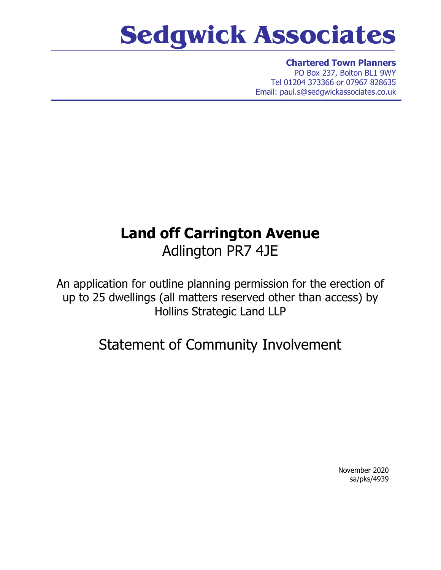## **Sedgwick Associates**

**Chartered Town Planners** PO Box 237, Bolton BL1 9WY Tel 01204 373366 or 07967 828635 Email: paul.s@sedgwickassociates.co.uk

## **Land off Carrington Avenue** Adlington PR7 4JE

An application for outline planning permission for the erection of up to 25 dwellings (all matters reserved other than access) by Hollins Strategic Land LLP

Statement of Community Involvement

November 2020 sa/pks/4939